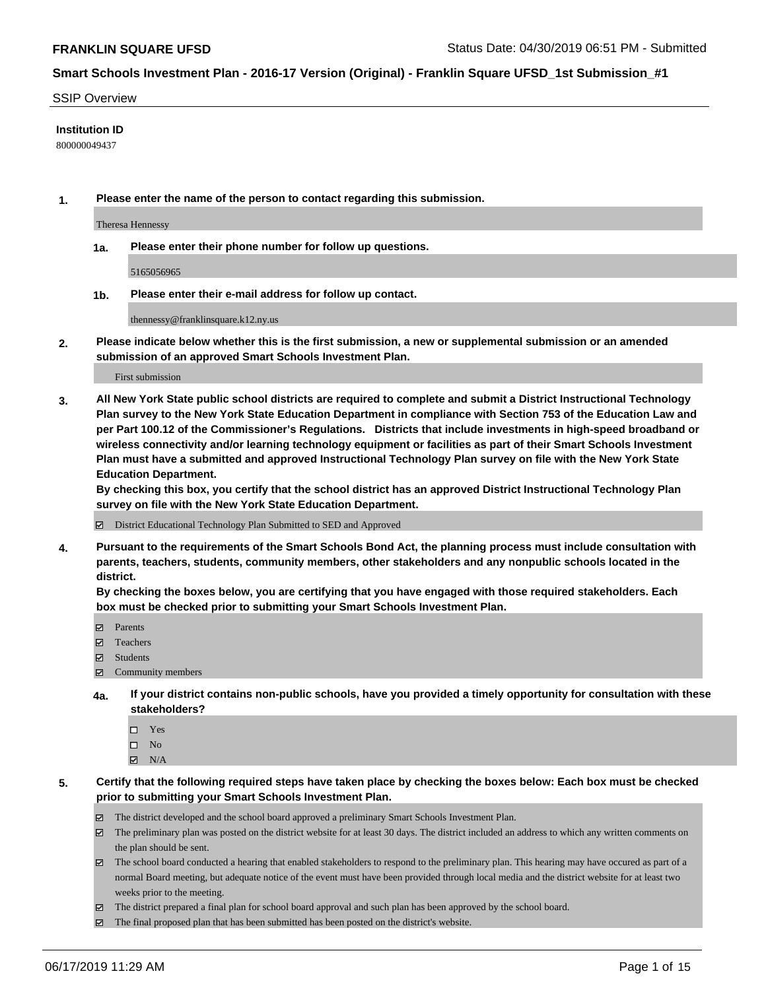#### SSIP Overview

#### **Institution ID**

800000049437

**1. Please enter the name of the person to contact regarding this submission.**

Theresa Hennessy

**1a. Please enter their phone number for follow up questions.**

5165056965

**1b. Please enter their e-mail address for follow up contact.**

thennessy@franklinsquare.k12.ny.us

**2. Please indicate below whether this is the first submission, a new or supplemental submission or an amended submission of an approved Smart Schools Investment Plan.**

#### First submission

**3. All New York State public school districts are required to complete and submit a District Instructional Technology Plan survey to the New York State Education Department in compliance with Section 753 of the Education Law and per Part 100.12 of the Commissioner's Regulations. Districts that include investments in high-speed broadband or wireless connectivity and/or learning technology equipment or facilities as part of their Smart Schools Investment Plan must have a submitted and approved Instructional Technology Plan survey on file with the New York State Education Department.** 

**By checking this box, you certify that the school district has an approved District Instructional Technology Plan survey on file with the New York State Education Department.**

District Educational Technology Plan Submitted to SED and Approved

**4. Pursuant to the requirements of the Smart Schools Bond Act, the planning process must include consultation with parents, teachers, students, community members, other stakeholders and any nonpublic schools located in the district.** 

**By checking the boxes below, you are certifying that you have engaged with those required stakeholders. Each box must be checked prior to submitting your Smart Schools Investment Plan.**

- Parents
- Teachers
- Students
- Community members
- **4a. If your district contains non-public schools, have you provided a timely opportunity for consultation with these stakeholders?**
	- □ Yes
	- $\square$  No
	- $N/A$
- **5. Certify that the following required steps have taken place by checking the boxes below: Each box must be checked prior to submitting your Smart Schools Investment Plan.**
	- The district developed and the school board approved a preliminary Smart Schools Investment Plan.
	- $\boxtimes$  The preliminary plan was posted on the district website for at least 30 days. The district included an address to which any written comments on the plan should be sent.
	- $\boxtimes$  The school board conducted a hearing that enabled stakeholders to respond to the preliminary plan. This hearing may have occured as part of a normal Board meeting, but adequate notice of the event must have been provided through local media and the district website for at least two weeks prior to the meeting.
	- The district prepared a final plan for school board approval and such plan has been approved by the school board.
	- $\boxtimes$  The final proposed plan that has been submitted has been posted on the district's website.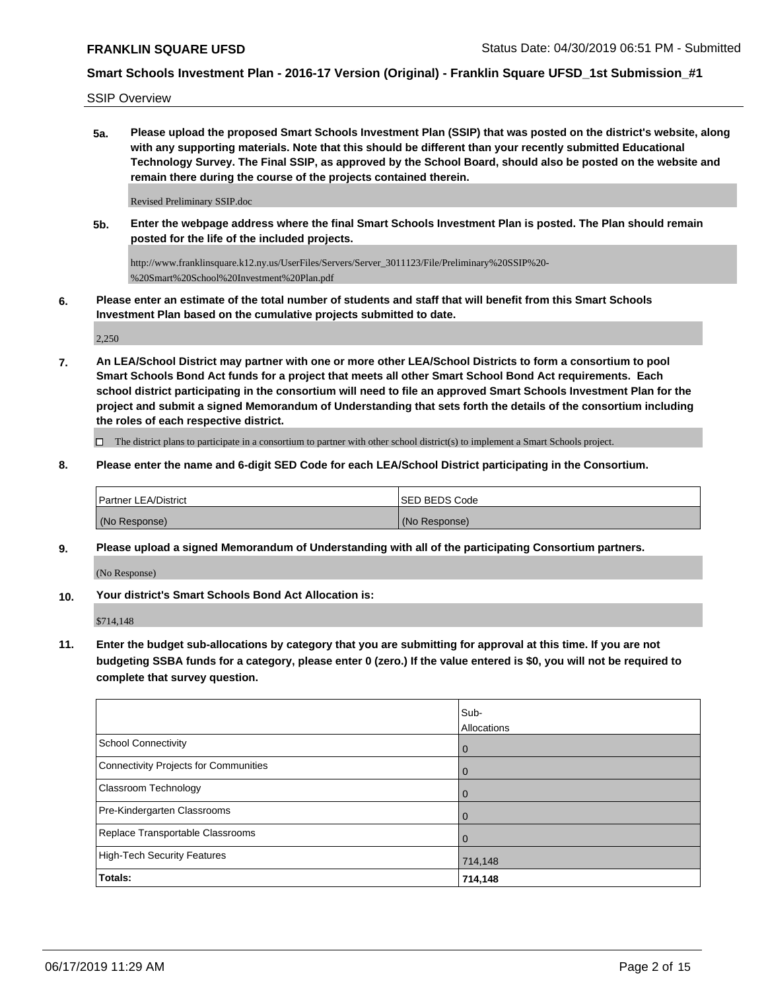SSIP Overview

**5a. Please upload the proposed Smart Schools Investment Plan (SSIP) that was posted on the district's website, along with any supporting materials. Note that this should be different than your recently submitted Educational Technology Survey. The Final SSIP, as approved by the School Board, should also be posted on the website and remain there during the course of the projects contained therein.**

Revised Preliminary SSIP.doc

**5b. Enter the webpage address where the final Smart Schools Investment Plan is posted. The Plan should remain posted for the life of the included projects.**

http://www.franklinsquare.k12.ny.us/UserFiles/Servers/Server\_3011123/File/Preliminary%20SSIP%20- %20Smart%20School%20Investment%20Plan.pdf

**6. Please enter an estimate of the total number of students and staff that will benefit from this Smart Schools Investment Plan based on the cumulative projects submitted to date.**

2,250

**7. An LEA/School District may partner with one or more other LEA/School Districts to form a consortium to pool Smart Schools Bond Act funds for a project that meets all other Smart School Bond Act requirements. Each school district participating in the consortium will need to file an approved Smart Schools Investment Plan for the project and submit a signed Memorandum of Understanding that sets forth the details of the consortium including the roles of each respective district.**

 $\Box$  The district plans to participate in a consortium to partner with other school district(s) to implement a Smart Schools project.

**8. Please enter the name and 6-digit SED Code for each LEA/School District participating in the Consortium.**

| <b>Partner LEA/District</b> | ISED BEDS Code |
|-----------------------------|----------------|
| (No Response)               | (No Response)  |

**9. Please upload a signed Memorandum of Understanding with all of the participating Consortium partners.**

(No Response)

**10. Your district's Smart Schools Bond Act Allocation is:**

\$714,148

**11. Enter the budget sub-allocations by category that you are submitting for approval at this time. If you are not budgeting SSBA funds for a category, please enter 0 (zero.) If the value entered is \$0, you will not be required to complete that survey question.**

|                                              | Sub-<br>Allocations |
|----------------------------------------------|---------------------|
| <b>School Connectivity</b>                   | $\overline{0}$      |
| <b>Connectivity Projects for Communities</b> | 0                   |
| <b>Classroom Technology</b>                  | 0                   |
| Pre-Kindergarten Classrooms                  | $\mathbf 0$         |
| Replace Transportable Classrooms             | $\mathbf 0$         |
| <b>High-Tech Security Features</b>           | 714,148             |
| Totals:                                      | 714,148             |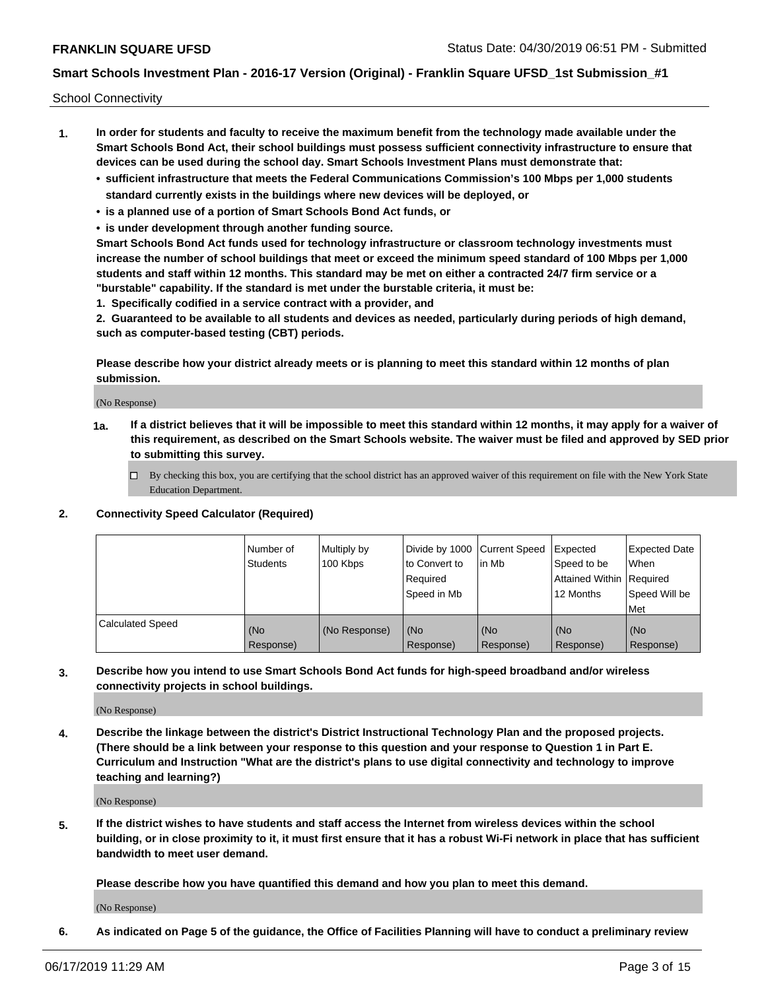School Connectivity

- **1. In order for students and faculty to receive the maximum benefit from the technology made available under the Smart Schools Bond Act, their school buildings must possess sufficient connectivity infrastructure to ensure that devices can be used during the school day. Smart Schools Investment Plans must demonstrate that:**
	- **• sufficient infrastructure that meets the Federal Communications Commission's 100 Mbps per 1,000 students standard currently exists in the buildings where new devices will be deployed, or**
	- **• is a planned use of a portion of Smart Schools Bond Act funds, or**
	- **• is under development through another funding source.**

**Smart Schools Bond Act funds used for technology infrastructure or classroom technology investments must increase the number of school buildings that meet or exceed the minimum speed standard of 100 Mbps per 1,000 students and staff within 12 months. This standard may be met on either a contracted 24/7 firm service or a "burstable" capability. If the standard is met under the burstable criteria, it must be:**

**1. Specifically codified in a service contract with a provider, and**

**2. Guaranteed to be available to all students and devices as needed, particularly during periods of high demand, such as computer-based testing (CBT) periods.**

**Please describe how your district already meets or is planning to meet this standard within 12 months of plan submission.**

(No Response)

**1a. If a district believes that it will be impossible to meet this standard within 12 months, it may apply for a waiver of this requirement, as described on the Smart Schools website. The waiver must be filed and approved by SED prior to submitting this survey.**

 $\Box$  By checking this box, you are certifying that the school district has an approved waiver of this requirement on file with the New York State Education Department.

### **2. Connectivity Speed Calculator (Required)**

|                         | Number of<br>Students | Multiply by<br>100 Kbps | Divide by 1000 Current Speed<br>to Convert to<br>Required<br>Speed in Mb | l in Mb          | Expected<br>Speed to be<br>Attained Within   Required<br>12 Months | <b>Expected Date</b><br>When<br>Speed Will be<br><b>Met</b> |
|-------------------------|-----------------------|-------------------------|--------------------------------------------------------------------------|------------------|--------------------------------------------------------------------|-------------------------------------------------------------|
| <b>Calculated Speed</b> | (No<br>Response)      | (No Response)           | (No<br>Response)                                                         | (No<br>Response) | (No<br>Response)                                                   | (No<br>Response)                                            |

**3. Describe how you intend to use Smart Schools Bond Act funds for high-speed broadband and/or wireless connectivity projects in school buildings.**

(No Response)

**4. Describe the linkage between the district's District Instructional Technology Plan and the proposed projects. (There should be a link between your response to this question and your response to Question 1 in Part E. Curriculum and Instruction "What are the district's plans to use digital connectivity and technology to improve teaching and learning?)**

(No Response)

**5. If the district wishes to have students and staff access the Internet from wireless devices within the school building, or in close proximity to it, it must first ensure that it has a robust Wi-Fi network in place that has sufficient bandwidth to meet user demand.**

**Please describe how you have quantified this demand and how you plan to meet this demand.**

(No Response)

**6. As indicated on Page 5 of the guidance, the Office of Facilities Planning will have to conduct a preliminary review**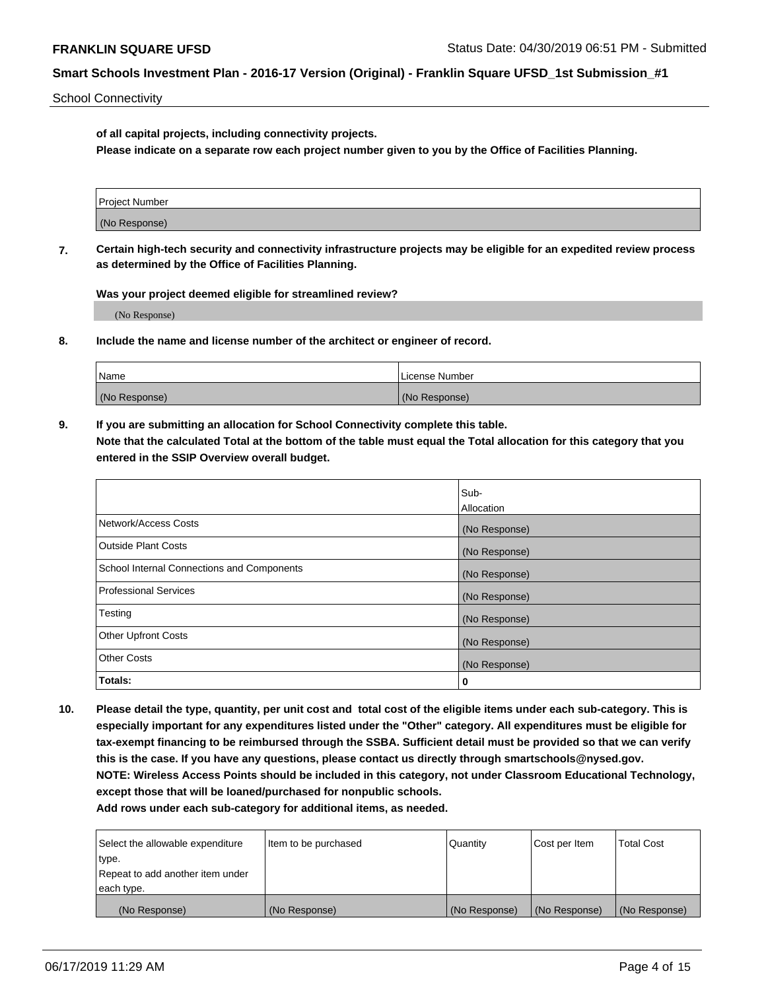School Connectivity

**of all capital projects, including connectivity projects.**

**Please indicate on a separate row each project number given to you by the Office of Facilities Planning.**

**7. Certain high-tech security and connectivity infrastructure projects may be eligible for an expedited review process as determined by the Office of Facilities Planning.**

**Was your project deemed eligible for streamlined review?**

(No Response)

**8. Include the name and license number of the architect or engineer of record.**

| Name          | License Number |
|---------------|----------------|
| (No Response) | (No Response)  |

**9. If you are submitting an allocation for School Connectivity complete this table. Note that the calculated Total at the bottom of the table must equal the Total allocation for this category that you entered in the SSIP Overview overall budget.** 

|                                            | Sub-          |
|--------------------------------------------|---------------|
|                                            | Allocation    |
| Network/Access Costs                       | (No Response) |
| Outside Plant Costs                        | (No Response) |
| School Internal Connections and Components | (No Response) |
| <b>Professional Services</b>               | (No Response) |
| Testing                                    | (No Response) |
| <b>Other Upfront Costs</b>                 | (No Response) |
| <b>Other Costs</b>                         | (No Response) |
| Totals:                                    | 0             |

**10. Please detail the type, quantity, per unit cost and total cost of the eligible items under each sub-category. This is especially important for any expenditures listed under the "Other" category. All expenditures must be eligible for tax-exempt financing to be reimbursed through the SSBA. Sufficient detail must be provided so that we can verify this is the case. If you have any questions, please contact us directly through smartschools@nysed.gov. NOTE: Wireless Access Points should be included in this category, not under Classroom Educational Technology, except those that will be loaned/purchased for nonpublic schools.**

| Select the allowable expenditure | Item to be purchased | Quantity      | Cost per Item | <b>Total Cost</b> |
|----------------------------------|----------------------|---------------|---------------|-------------------|
| type.                            |                      |               |               |                   |
| Repeat to add another item under |                      |               |               |                   |
| each type.                       |                      |               |               |                   |
| (No Response)                    | (No Response)        | (No Response) | (No Response) | (No Response)     |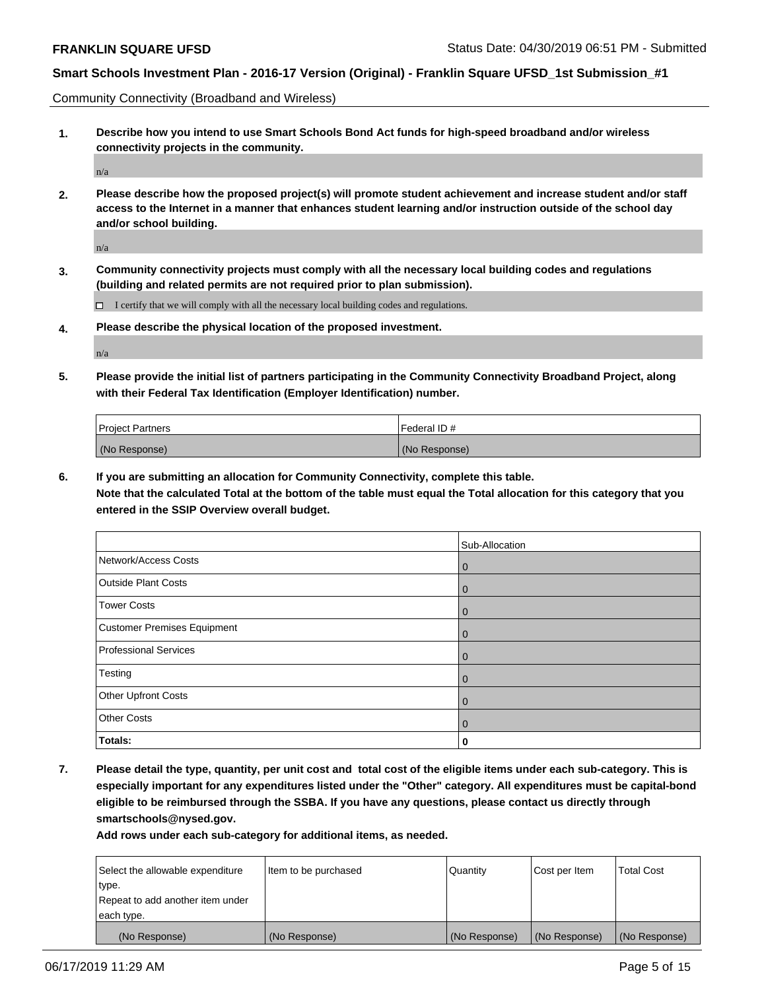Community Connectivity (Broadband and Wireless)

**1. Describe how you intend to use Smart Schools Bond Act funds for high-speed broadband and/or wireless connectivity projects in the community.**

n/a

**2. Please describe how the proposed project(s) will promote student achievement and increase student and/or staff access to the Internet in a manner that enhances student learning and/or instruction outside of the school day and/or school building.**

n/a

**3. Community connectivity projects must comply with all the necessary local building codes and regulations (building and related permits are not required prior to plan submission).**

 $\Box$  I certify that we will comply with all the necessary local building codes and regulations.

**4. Please describe the physical location of the proposed investment.**

n/a

**5. Please provide the initial list of partners participating in the Community Connectivity Broadband Project, along with their Federal Tax Identification (Employer Identification) number.**

| <b>Project Partners</b> | Federal ID#   |
|-------------------------|---------------|
| (No Response)           | (No Response) |

**6. If you are submitting an allocation for Community Connectivity, complete this table.**

**Note that the calculated Total at the bottom of the table must equal the Total allocation for this category that you entered in the SSIP Overview overall budget.**

|                              | Sub-Allocation |
|------------------------------|----------------|
| Network/Access Costs         | $\overline{0}$ |
| <b>Outside Plant Costs</b>   | $\mathbf 0$    |
| <b>Tower Costs</b>           | $\mathbf 0$    |
| Customer Premises Equipment  | $\mathbf 0$    |
| <b>Professional Services</b> | $\mathbf 0$    |
| Testing                      | $\mathbf 0$    |
| <b>Other Upfront Costs</b>   | $\mathbf 0$    |
| <b>Other Costs</b>           | $\mathbf 0$    |
| Totals:                      | 0              |

**7. Please detail the type, quantity, per unit cost and total cost of the eligible items under each sub-category. This is especially important for any expenditures listed under the "Other" category. All expenditures must be capital-bond eligible to be reimbursed through the SSBA. If you have any questions, please contact us directly through smartschools@nysed.gov.**

| Select the allowable expenditure<br>type. | Item to be purchased | Quantity      | Cost per Item | <b>Total Cost</b> |
|-------------------------------------------|----------------------|---------------|---------------|-------------------|
| Repeat to add another item under          |                      |               |               |                   |
| each type.                                |                      |               |               |                   |
| (No Response)                             | (No Response)        | (No Response) | (No Response) | (No Response)     |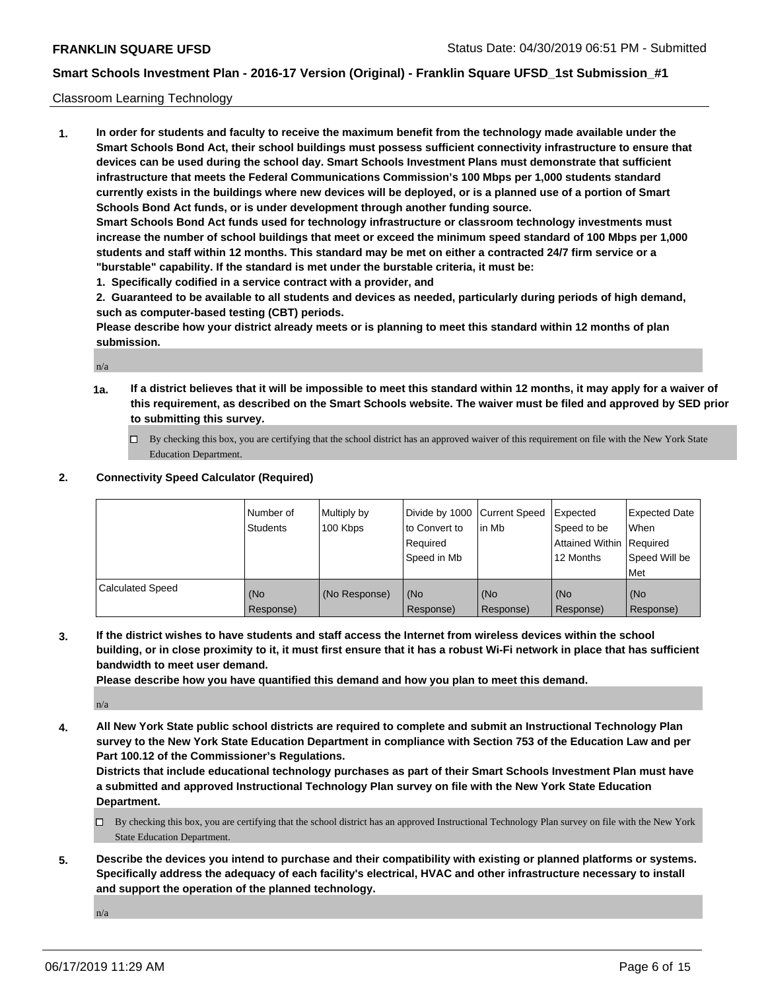### Classroom Learning Technology

**1. In order for students and faculty to receive the maximum benefit from the technology made available under the Smart Schools Bond Act, their school buildings must possess sufficient connectivity infrastructure to ensure that devices can be used during the school day. Smart Schools Investment Plans must demonstrate that sufficient infrastructure that meets the Federal Communications Commission's 100 Mbps per 1,000 students standard currently exists in the buildings where new devices will be deployed, or is a planned use of a portion of Smart Schools Bond Act funds, or is under development through another funding source. Smart Schools Bond Act funds used for technology infrastructure or classroom technology investments must increase the number of school buildings that meet or exceed the minimum speed standard of 100 Mbps per 1,000 students and staff within 12 months. This standard may be met on either a contracted 24/7 firm service or a**

- **"burstable" capability. If the standard is met under the burstable criteria, it must be:**
- **1. Specifically codified in a service contract with a provider, and**

**2. Guaranteed to be available to all students and devices as needed, particularly during periods of high demand, such as computer-based testing (CBT) periods.**

**Please describe how your district already meets or is planning to meet this standard within 12 months of plan submission.**

n/a

- **1a. If a district believes that it will be impossible to meet this standard within 12 months, it may apply for a waiver of this requirement, as described on the Smart Schools website. The waiver must be filed and approved by SED prior to submitting this survey.**
	- By checking this box, you are certifying that the school district has an approved waiver of this requirement on file with the New York State Education Department.

#### **2. Connectivity Speed Calculator (Required)**

|                         | Number of<br><b>Students</b> | Multiply by<br>100 Kbps | Divide by 1000 Current Speed<br>to Convert to<br>Reauired<br>Speed in Mb | lin Mb           | Expected<br>Speed to be<br>Attained Within   Required<br>12 Months | <b>Expected Date</b><br>When<br>Speed Will be<br><b>Met</b> |
|-------------------------|------------------------------|-------------------------|--------------------------------------------------------------------------|------------------|--------------------------------------------------------------------|-------------------------------------------------------------|
| <b>Calculated Speed</b> | (No<br>Response)             | (No Response)           | (No<br>Response)                                                         | (No<br>Response) | (No<br>Response)                                                   | (No<br>Response)                                            |

**3. If the district wishes to have students and staff access the Internet from wireless devices within the school building, or in close proximity to it, it must first ensure that it has a robust Wi-Fi network in place that has sufficient bandwidth to meet user demand.**

**Please describe how you have quantified this demand and how you plan to meet this demand.**

n/a

**4. All New York State public school districts are required to complete and submit an Instructional Technology Plan survey to the New York State Education Department in compliance with Section 753 of the Education Law and per Part 100.12 of the Commissioner's Regulations.**

**Districts that include educational technology purchases as part of their Smart Schools Investment Plan must have a submitted and approved Instructional Technology Plan survey on file with the New York State Education Department.**

- $\Box$  By checking this box, you are certifying that the school district has an approved Instructional Technology Plan survey on file with the New York State Education Department.
- **5. Describe the devices you intend to purchase and their compatibility with existing or planned platforms or systems. Specifically address the adequacy of each facility's electrical, HVAC and other infrastructure necessary to install and support the operation of the planned technology.**

n/a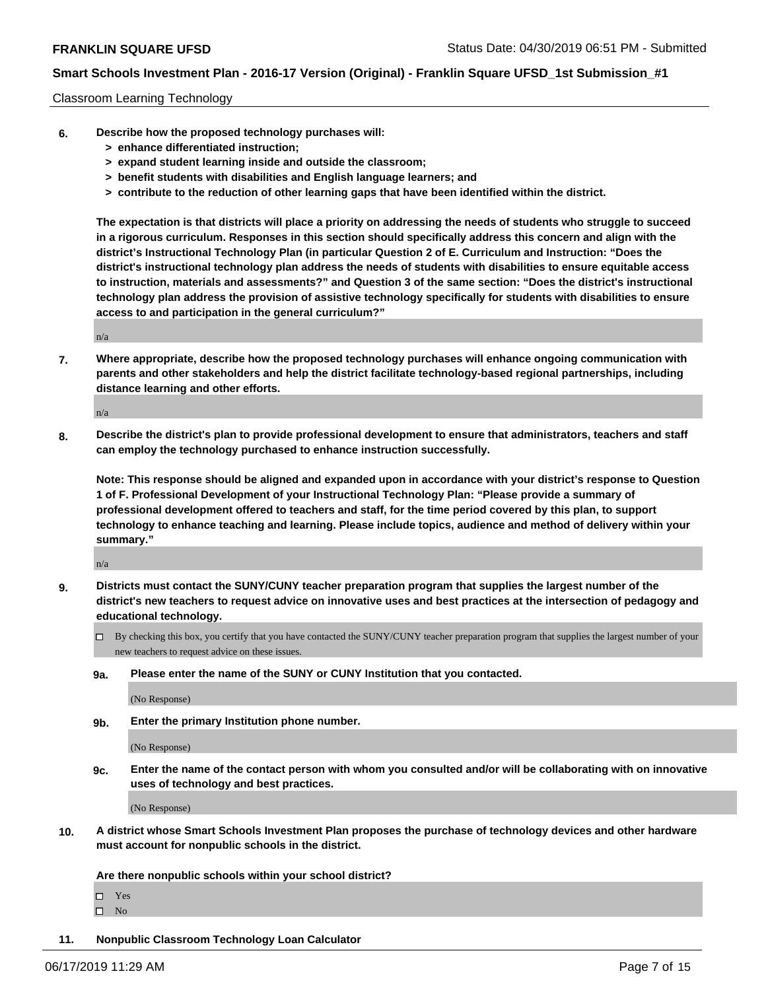### Classroom Learning Technology

- **6. Describe how the proposed technology purchases will:**
	- **> enhance differentiated instruction;**
	- **> expand student learning inside and outside the classroom;**
	- **> benefit students with disabilities and English language learners; and**
	- **> contribute to the reduction of other learning gaps that have been identified within the district.**

**The expectation is that districts will place a priority on addressing the needs of students who struggle to succeed in a rigorous curriculum. Responses in this section should specifically address this concern and align with the district's Instructional Technology Plan (in particular Question 2 of E. Curriculum and Instruction: "Does the district's instructional technology plan address the needs of students with disabilities to ensure equitable access to instruction, materials and assessments?" and Question 3 of the same section: "Does the district's instructional technology plan address the provision of assistive technology specifically for students with disabilities to ensure access to and participation in the general curriculum?"**

n/a

**7. Where appropriate, describe how the proposed technology purchases will enhance ongoing communication with parents and other stakeholders and help the district facilitate technology-based regional partnerships, including distance learning and other efforts.**

n/a

**8. Describe the district's plan to provide professional development to ensure that administrators, teachers and staff can employ the technology purchased to enhance instruction successfully.**

**Note: This response should be aligned and expanded upon in accordance with your district's response to Question 1 of F. Professional Development of your Instructional Technology Plan: "Please provide a summary of professional development offered to teachers and staff, for the time period covered by this plan, to support technology to enhance teaching and learning. Please include topics, audience and method of delivery within your summary."**

n/a

- **9. Districts must contact the SUNY/CUNY teacher preparation program that supplies the largest number of the district's new teachers to request advice on innovative uses and best practices at the intersection of pedagogy and educational technology.**
	- By checking this box, you certify that you have contacted the SUNY/CUNY teacher preparation program that supplies the largest number of your new teachers to request advice on these issues.
	- **9a. Please enter the name of the SUNY or CUNY Institution that you contacted.**

(No Response)

**9b. Enter the primary Institution phone number.**

(No Response)

**9c. Enter the name of the contact person with whom you consulted and/or will be collaborating with on innovative uses of technology and best practices.**

(No Response)

**10. A district whose Smart Schools Investment Plan proposes the purchase of technology devices and other hardware must account for nonpublic schools in the district.**

**Are there nonpublic schools within your school district?**

Yes

 $\square$  No

**11. Nonpublic Classroom Technology Loan Calculator**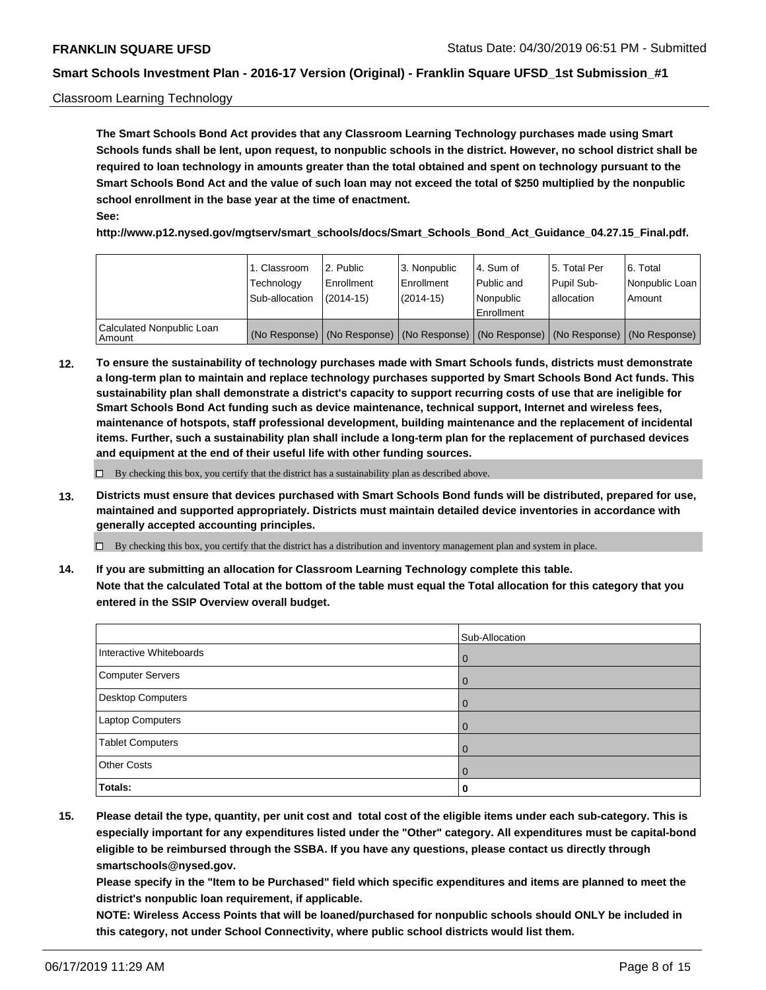### Classroom Learning Technology

**The Smart Schools Bond Act provides that any Classroom Learning Technology purchases made using Smart Schools funds shall be lent, upon request, to nonpublic schools in the district. However, no school district shall be required to loan technology in amounts greater than the total obtained and spent on technology pursuant to the Smart Schools Bond Act and the value of such loan may not exceed the total of \$250 multiplied by the nonpublic school enrollment in the base year at the time of enactment. See:**

**http://www.p12.nysed.gov/mgtserv/smart\_schools/docs/Smart\_Schools\_Bond\_Act\_Guidance\_04.27.15\_Final.pdf.**

|                                       | 1. Classroom<br>Technology<br>Sub-allocation | l 2. Public<br>Enrollment<br>$(2014-15)$ | 3. Nonpublic<br>l Enrollment<br>$(2014-15)$ | l 4. Sum of<br>Public and<br>l Nonpublic<br>Enrollment                                        | l 5. Total Per<br>Pupil Sub-<br>l allocation | l 6. Total<br>Nonpublic Loan<br>Amount |
|---------------------------------------|----------------------------------------------|------------------------------------------|---------------------------------------------|-----------------------------------------------------------------------------------------------|----------------------------------------------|----------------------------------------|
| Calculated Nonpublic Loan<br>l Amount |                                              |                                          |                                             | (No Response)   (No Response)   (No Response)   (No Response)   (No Response)   (No Response) |                                              |                                        |

**12. To ensure the sustainability of technology purchases made with Smart Schools funds, districts must demonstrate a long-term plan to maintain and replace technology purchases supported by Smart Schools Bond Act funds. This sustainability plan shall demonstrate a district's capacity to support recurring costs of use that are ineligible for Smart Schools Bond Act funding such as device maintenance, technical support, Internet and wireless fees, maintenance of hotspots, staff professional development, building maintenance and the replacement of incidental items. Further, such a sustainability plan shall include a long-term plan for the replacement of purchased devices and equipment at the end of their useful life with other funding sources.**

 $\Box$  By checking this box, you certify that the district has a sustainability plan as described above.

**13. Districts must ensure that devices purchased with Smart Schools Bond funds will be distributed, prepared for use, maintained and supported appropriately. Districts must maintain detailed device inventories in accordance with generally accepted accounting principles.**

By checking this box, you certify that the district has a distribution and inventory management plan and system in place.

**14. If you are submitting an allocation for Classroom Learning Technology complete this table. Note that the calculated Total at the bottom of the table must equal the Total allocation for this category that you entered in the SSIP Overview overall budget.**

|                          | Sub-Allocation |
|--------------------------|----------------|
| Interactive Whiteboards  | $\overline{0}$ |
| <b>Computer Servers</b>  | 0              |
| <b>Desktop Computers</b> | $\overline{0}$ |
| Laptop Computers         | $\mathbf 0$    |
| <b>Tablet Computers</b>  | 0              |
| <b>Other Costs</b>       | 0              |
| Totals:                  | 0              |

**15. Please detail the type, quantity, per unit cost and total cost of the eligible items under each sub-category. This is especially important for any expenditures listed under the "Other" category. All expenditures must be capital-bond eligible to be reimbursed through the SSBA. If you have any questions, please contact us directly through smartschools@nysed.gov.**

**Please specify in the "Item to be Purchased" field which specific expenditures and items are planned to meet the district's nonpublic loan requirement, if applicable.**

**NOTE: Wireless Access Points that will be loaned/purchased for nonpublic schools should ONLY be included in this category, not under School Connectivity, where public school districts would list them.**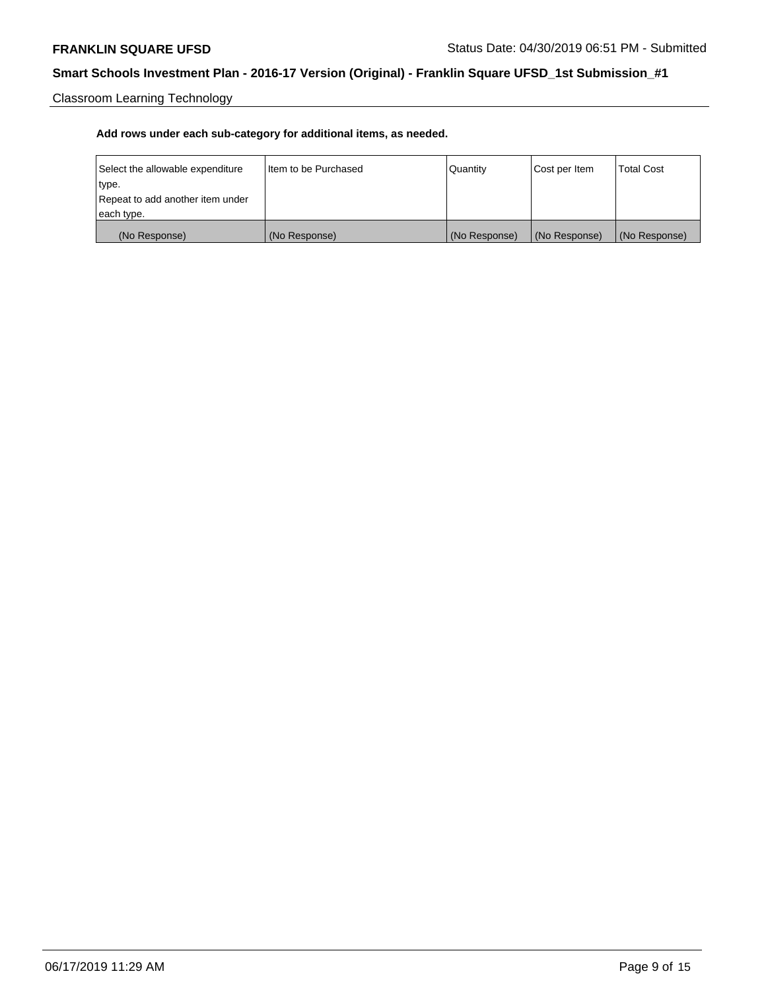Classroom Learning Technology

| Select the allowable expenditure | Iltem to be Purchased | Quantity      | Cost per Item | <b>Total Cost</b> |
|----------------------------------|-----------------------|---------------|---------------|-------------------|
| type.                            |                       |               |               |                   |
| Repeat to add another item under |                       |               |               |                   |
| each type.                       |                       |               |               |                   |
| (No Response)                    | (No Response)         | (No Response) | (No Response) | (No Response)     |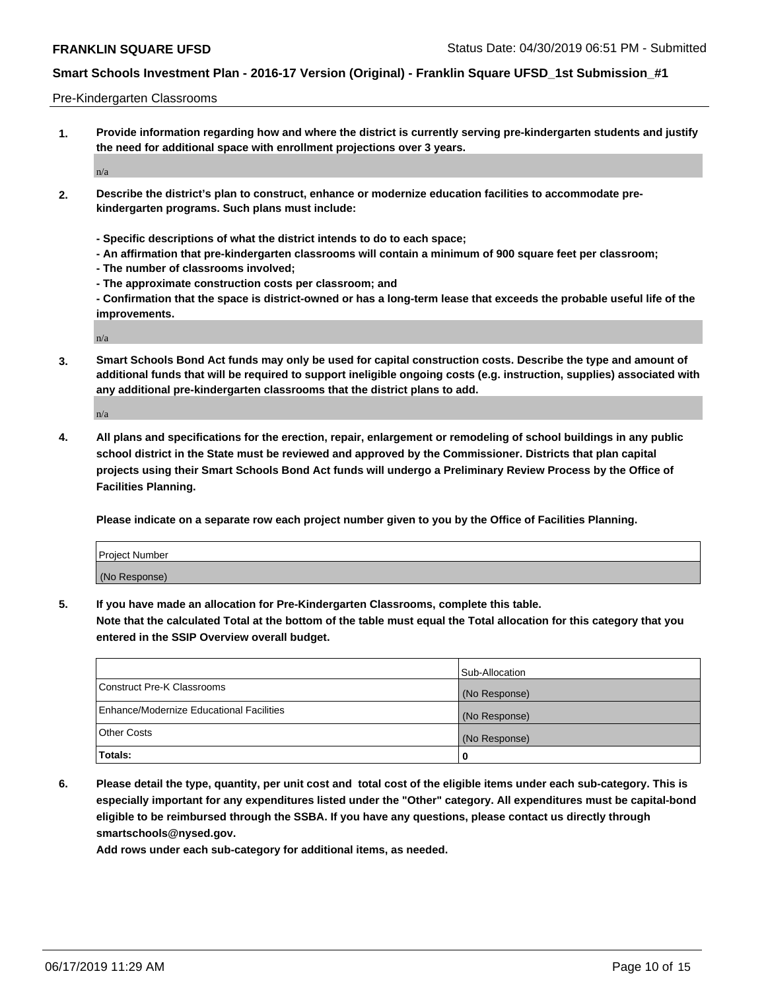Pre-Kindergarten Classrooms

**1. Provide information regarding how and where the district is currently serving pre-kindergarten students and justify the need for additional space with enrollment projections over 3 years.**

n/a

- **2. Describe the district's plan to construct, enhance or modernize education facilities to accommodate prekindergarten programs. Such plans must include:**
	- **Specific descriptions of what the district intends to do to each space;**
	- **An affirmation that pre-kindergarten classrooms will contain a minimum of 900 square feet per classroom;**
	- **The number of classrooms involved;**
	- **The approximate construction costs per classroom; and**
	- **Confirmation that the space is district-owned or has a long-term lease that exceeds the probable useful life of the improvements.**

n/a

**3. Smart Schools Bond Act funds may only be used for capital construction costs. Describe the type and amount of additional funds that will be required to support ineligible ongoing costs (e.g. instruction, supplies) associated with any additional pre-kindergarten classrooms that the district plans to add.**

n/a

**4. All plans and specifications for the erection, repair, enlargement or remodeling of school buildings in any public school district in the State must be reviewed and approved by the Commissioner. Districts that plan capital projects using their Smart Schools Bond Act funds will undergo a Preliminary Review Process by the Office of Facilities Planning.**

**Please indicate on a separate row each project number given to you by the Office of Facilities Planning.**

| Project Number |  |
|----------------|--|
| (No Response)  |  |
|                |  |

**5. If you have made an allocation for Pre-Kindergarten Classrooms, complete this table.**

**Note that the calculated Total at the bottom of the table must equal the Total allocation for this category that you entered in the SSIP Overview overall budget.**

|                                          | Sub-Allocation |
|------------------------------------------|----------------|
| Construct Pre-K Classrooms               | (No Response)  |
| Enhance/Modernize Educational Facilities | (No Response)  |
| <b>Other Costs</b>                       | (No Response)  |
| <b>Totals:</b>                           | 0              |

**6. Please detail the type, quantity, per unit cost and total cost of the eligible items under each sub-category. This is especially important for any expenditures listed under the "Other" category. All expenditures must be capital-bond eligible to be reimbursed through the SSBA. If you have any questions, please contact us directly through smartschools@nysed.gov.**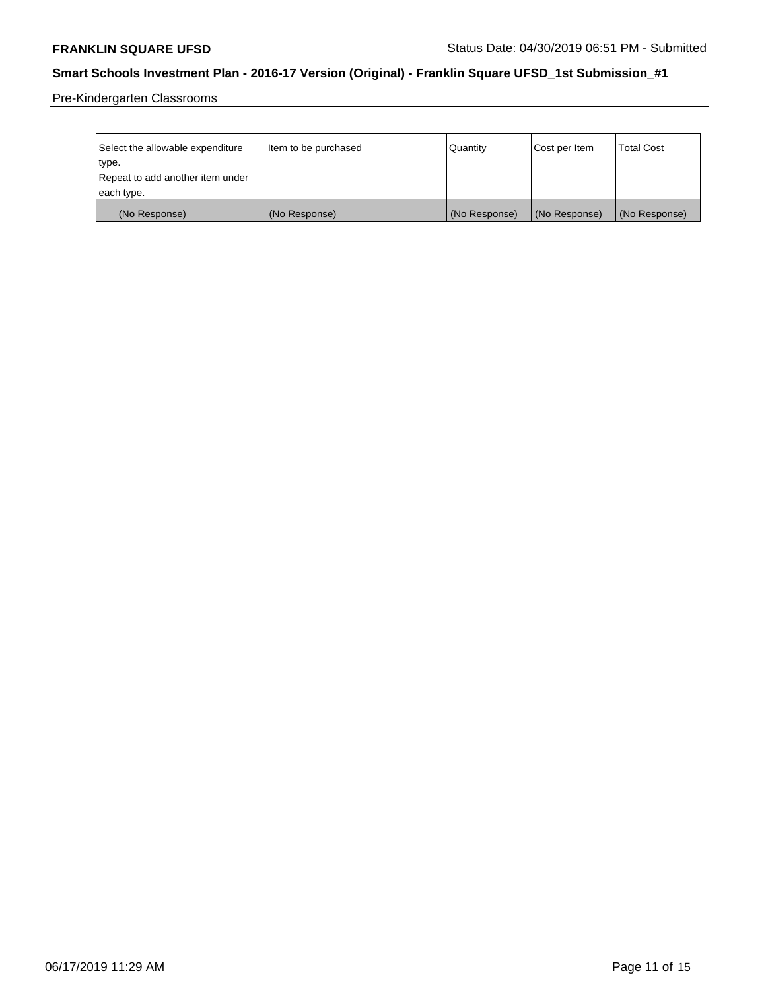Pre-Kindergarten Classrooms

| Select the allowable expenditure<br>type.      | Item to be purchased | Quantity      | Cost per Item | <b>Total Cost</b> |
|------------------------------------------------|----------------------|---------------|---------------|-------------------|
| Repeat to add another item under<br>each type. |                      |               |               |                   |
| (No Response)                                  | (No Response)        | (No Response) | (No Response) | (No Response)     |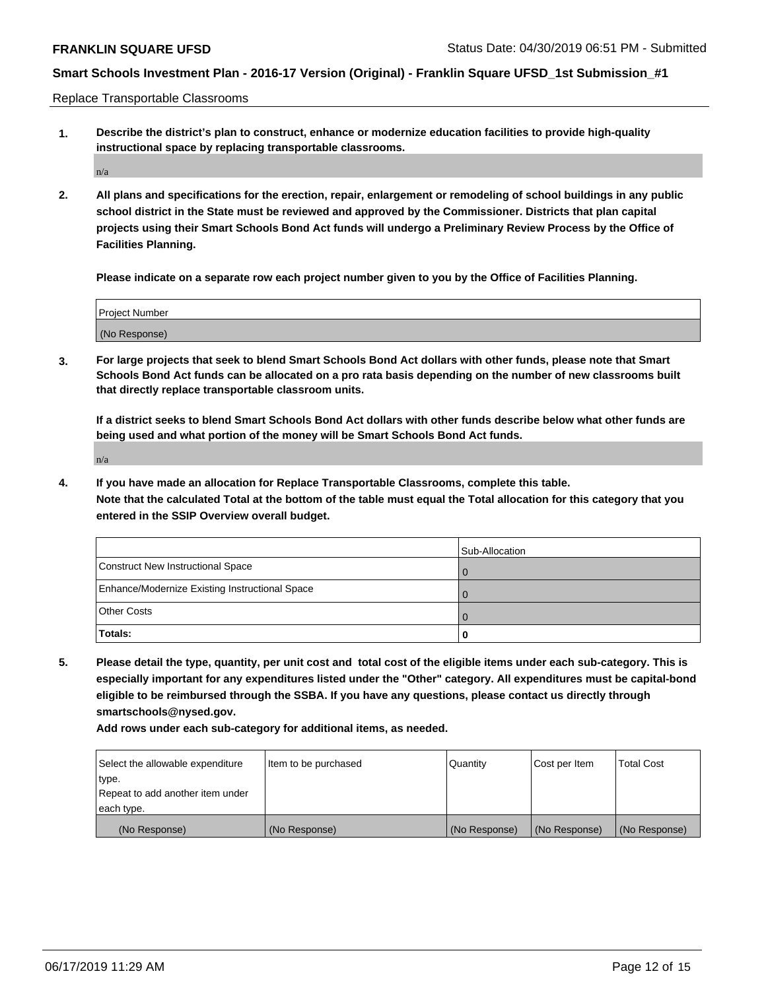Replace Transportable Classrooms

**1. Describe the district's plan to construct, enhance or modernize education facilities to provide high-quality instructional space by replacing transportable classrooms.**

n/a

**2. All plans and specifications for the erection, repair, enlargement or remodeling of school buildings in any public school district in the State must be reviewed and approved by the Commissioner. Districts that plan capital projects using their Smart Schools Bond Act funds will undergo a Preliminary Review Process by the Office of Facilities Planning.**

**Please indicate on a separate row each project number given to you by the Office of Facilities Planning.**

| Project Number |  |
|----------------|--|
|                |  |
| (No Response)  |  |

**3. For large projects that seek to blend Smart Schools Bond Act dollars with other funds, please note that Smart Schools Bond Act funds can be allocated on a pro rata basis depending on the number of new classrooms built that directly replace transportable classroom units.**

**If a district seeks to blend Smart Schools Bond Act dollars with other funds describe below what other funds are being used and what portion of the money will be Smart Schools Bond Act funds.**

n/a

**4. If you have made an allocation for Replace Transportable Classrooms, complete this table. Note that the calculated Total at the bottom of the table must equal the Total allocation for this category that you entered in the SSIP Overview overall budget.**

|                                                | Sub-Allocation |
|------------------------------------------------|----------------|
| Construct New Instructional Space              |                |
| Enhance/Modernize Existing Instructional Space |                |
| <b>Other Costs</b>                             |                |
| Totals:                                        | 0              |

**5. Please detail the type, quantity, per unit cost and total cost of the eligible items under each sub-category. This is especially important for any expenditures listed under the "Other" category. All expenditures must be capital-bond eligible to be reimbursed through the SSBA. If you have any questions, please contact us directly through smartschools@nysed.gov.**

| Select the allowable expenditure | Item to be purchased | Quantity      | Cost per Item | Total Cost    |
|----------------------------------|----------------------|---------------|---------------|---------------|
| type.                            |                      |               |               |               |
| Repeat to add another item under |                      |               |               |               |
| each type.                       |                      |               |               |               |
| (No Response)                    | (No Response)        | (No Response) | (No Response) | (No Response) |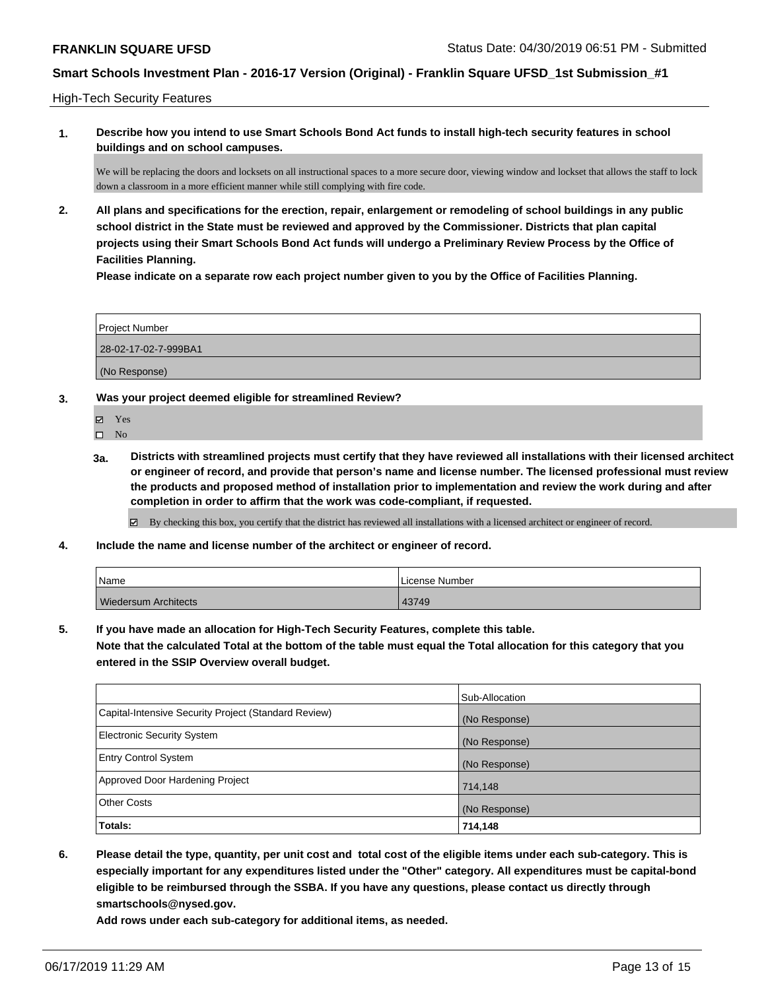High-Tech Security Features

**1. Describe how you intend to use Smart Schools Bond Act funds to install high-tech security features in school buildings and on school campuses.**

We will be replacing the doors and locksets on all instructional spaces to a more secure door, viewing window and lockset that allows the staff to lock down a classroom in a more efficient manner while still complying with fire code.

**2. All plans and specifications for the erection, repair, enlargement or remodeling of school buildings in any public school district in the State must be reviewed and approved by the Commissioner. Districts that plan capital projects using their Smart Schools Bond Act funds will undergo a Preliminary Review Process by the Office of Facilities Planning.** 

**Please indicate on a separate row each project number given to you by the Office of Facilities Planning.**

| Project Number       |  |
|----------------------|--|
| 28-02-17-02-7-999BA1 |  |
| (No Response)        |  |

**3. Was your project deemed eligible for streamlined Review?**

Yes

 $\hfill \square$  No

**3a. Districts with streamlined projects must certify that they have reviewed all installations with their licensed architect or engineer of record, and provide that person's name and license number. The licensed professional must review the products and proposed method of installation prior to implementation and review the work during and after completion in order to affirm that the work was code-compliant, if requested.**

By checking this box, you certify that the district has reviewed all installations with a licensed architect or engineer of record.

**4. Include the name and license number of the architect or engineer of record.**

| Name                        | License Number |
|-----------------------------|----------------|
| <b>Wiedersum Architects</b> | 43749          |

**5. If you have made an allocation for High-Tech Security Features, complete this table.**

**Note that the calculated Total at the bottom of the table must equal the Total allocation for this category that you entered in the SSIP Overview overall budget.**

|                                                      | Sub-Allocation |
|------------------------------------------------------|----------------|
| Capital-Intensive Security Project (Standard Review) | (No Response)  |
| <b>Electronic Security System</b>                    | (No Response)  |
| <b>Entry Control System</b>                          | (No Response)  |
| Approved Door Hardening Project                      | 714,148        |
| <b>Other Costs</b>                                   | (No Response)  |
| Totals:                                              | 714,148        |

**6. Please detail the type, quantity, per unit cost and total cost of the eligible items under each sub-category. This is especially important for any expenditures listed under the "Other" category. All expenditures must be capital-bond eligible to be reimbursed through the SSBA. If you have any questions, please contact us directly through smartschools@nysed.gov.**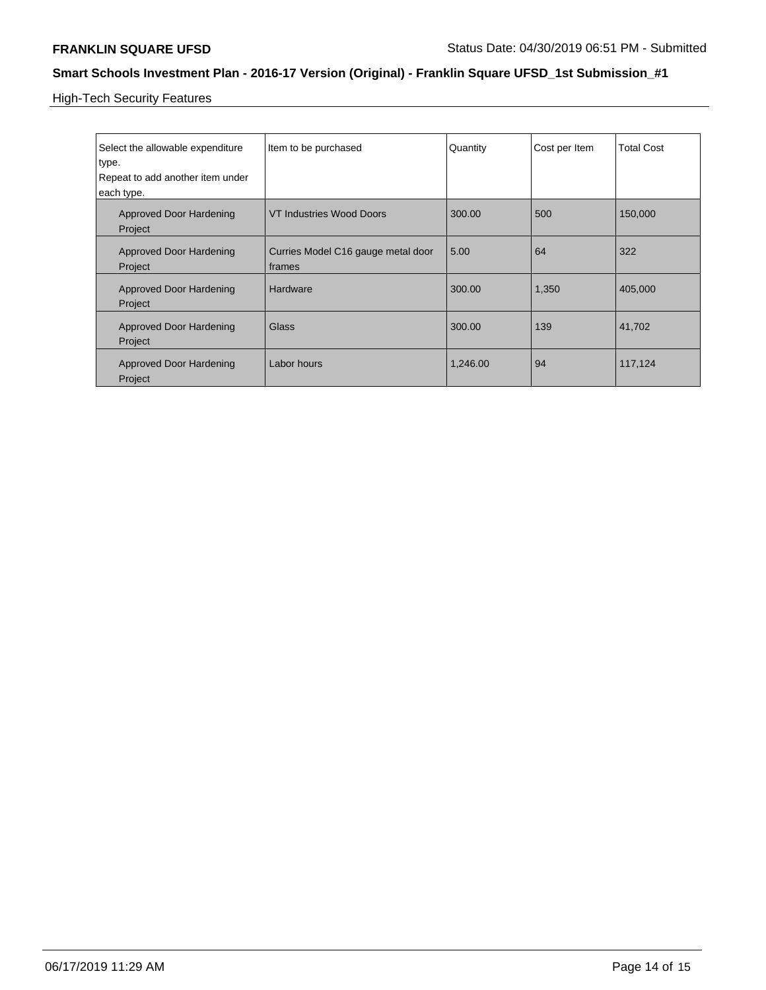High-Tech Security Features

| Select the allowable expenditure<br>type.      | Item to be purchased                         | Quantity | Cost per Item | <b>Total Cost</b> |
|------------------------------------------------|----------------------------------------------|----------|---------------|-------------------|
| Repeat to add another item under<br>each type. |                                              |          |               |                   |
| <b>Approved Door Hardening</b><br>Project      | <b>VT Industries Wood Doors</b>              | 300.00   | 500           | 150,000           |
| <b>Approved Door Hardening</b><br>Project      | Curries Model C16 gauge metal door<br>frames | 5.00     | 64            | 322               |
| <b>Approved Door Hardening</b><br>Project      | Hardware                                     | 300.00   | 1,350         | 405,000           |
| <b>Approved Door Hardening</b><br>Project      | Glass                                        | 300.00   | 139           | 41,702            |
| Approved Door Hardening<br>Project             | Labor hours                                  | 1.246.00 | 94            | 117,124           |